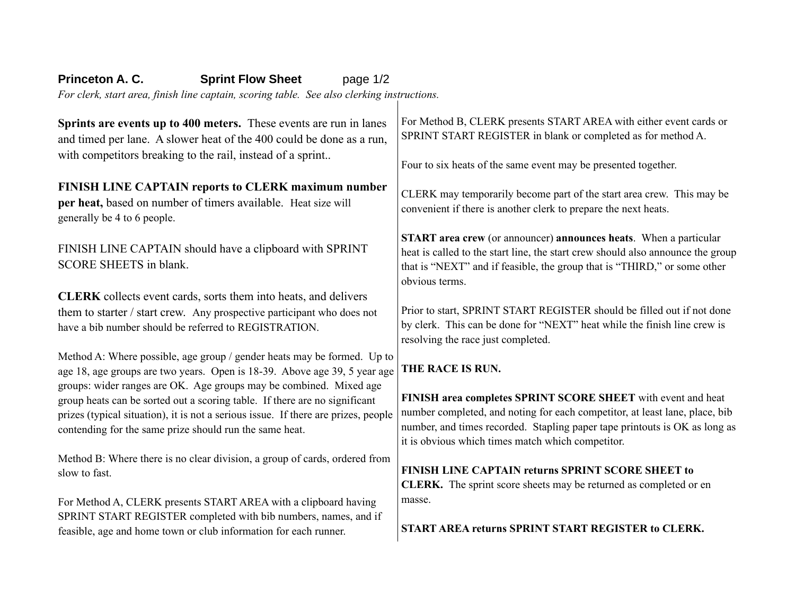# **Princeton A. C. Sprint Flow Sheet** page 1/2

*For clerk, start area, finish line captain, scoring table. See also clerking instructions.*

**Sprints are events up to 400 meters.** These events are run in lanes and timed per lane. A slower heat of the 400 could be done as a run, with competitors breaking to the rail, instead of a sprint... **FINISH LINE CAPTAIN reports to CLERK maximum number per heat,** based on number of timers available. Heat size will generally be 4 to 6 people. FINISH LINE CAPTAIN should have a clipboard with SPRINT SCORE SHEETS in blank. **CLERK** collects event cards, sorts them into heats, and delivers them to starter / start crew. Any prospective participant who does not have a bib number should be referred to REGISTRATION. Method A: Where possible, age group / gender heats may be formed. Up to age 18, age groups are two years. Open is 18-39. Above age 39, 5 year age groups: wider ranges are OK. Age groups may be combined. Mixed age group heats can be sorted out a scoring table. If there are no significant prizes (typical situation), it is not a serious issue. If there are prizes, people contending for the same prize should run the same heat. Method B: Where there is no clear division, a group of cards, ordered from slow to fast. For Method A, CLERK presents START AREA with a clipboard having SPRINT START REGISTER completed with bib numbers, names, and if feasible, age and home town or club information for each runner. For Method B, CLERK presents START AREA with either event cards or SPRINT START REGISTER in blank or completed as for method A. Four to six heats of the same event may be presented together. CLERK may temporarily become part of the start area crew. This may be convenient if there is another clerk to prepare the next heats. **START area crew** (or announcer) **announces heats**. When a particular heat is called to the start line, the start crew should also announce the group that is "NEXT" and if feasible, the group that is "THIRD," or some other obvious terms. Prior to start, SPRINT START REGISTER should be filled out if not done by clerk. This can be done for "NEXT" heat while the finish line crew is resolving the race just completed. **THE RACE IS RUN. FINISH area completes SPRINT SCORE SHEET** with event and heat number completed, and noting for each competitor, at least lane, place, bib number, and times recorded. Stapling paper tape printouts is OK as long as it is obvious which times match which competitor. **FINISH LINE CAPTAIN returns SPRINT SCORE SHEET to CLERK.** The sprint score sheets may be returned as completed or en masse. **START AREA returns SPRINT START REGISTER to CLERK.**